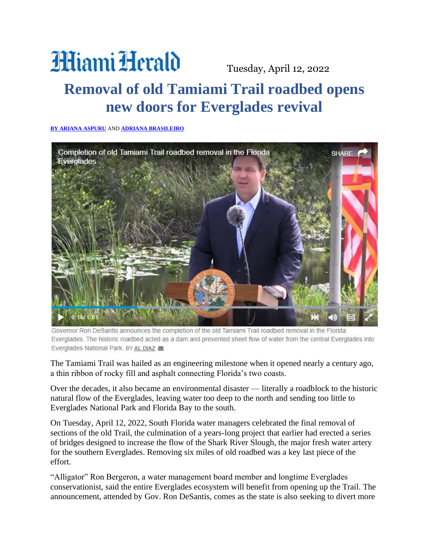## **Hiami Herald**

Tuesday, April 12, 2022

## **Removal of old Tamiami Trail roadbed opens new doors for Everglades revival**

## **[BY ARIANA ASPURU](mailto:aaspuru@miamiherald.com)** AND **[ADRIANA BRASILEIRO](mailto:abrasileiro@miamiherald.com)**



Governor Ron DeSantis announces the completion of the old Tamiami Trail roadbed removal in the Florida Everglades. The historic roadbed acted as a dam and prevented sheet flow of water from the central Everglades into Everglades National Park. BY AL DIAZ

The Tamiami Trail was hailed as an engineering milestone when it opened nearly a century ago, a thin ribbon of rocky fill and asphalt connecting Florida's two coasts.

Over the decades, it also became an environmental disaster — literally a roadblock to the historic natural flow of the Everglades, leaving water too deep to the north and sending too little to Everglades National Park and Florida Bay to the south.

On Tuesday, April 12, 2022, South Florida water managers celebrated the final removal of sections of the old Trail, the culmination of a years-long project that earlier had erected a series of bridges designed to increase the flow of the Shark River Slough, the major fresh water artery for the southern Everglades. Removing six miles of old roadbed was a key last piece of the effort.

"Alligator" Ron Bergeron, a water management board member and longtime Everglades conservationist, said the entire Everglades ecosystem will benefit from opening up the Trail. The announcement, attended by Gov. Ron DeSantis, comes as the state is also seeking to divert more